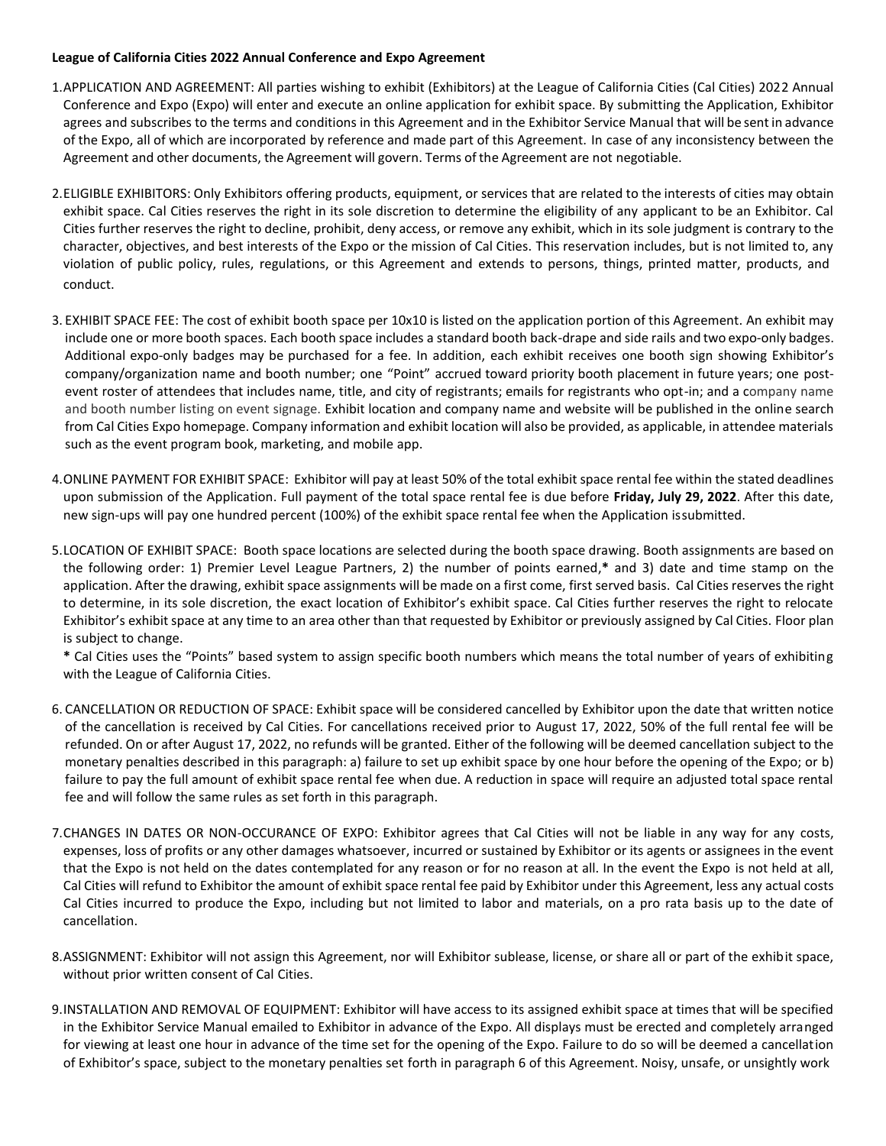## **League of California Cities 2022 Annual Conference and Expo Agreement**

- 1.APPLICATION AND AGREEMENT: All parties wishing to exhibit (Exhibitors) at the League of California Cities (Cal Cities) 2022 Annual Conference and Expo (Expo) will enter and execute an online application for exhibit space. By submitting the Application, Exhibitor agrees and subscribes to the terms and conditions in this Agreement and in the Exhibitor Service Manual that will be sent in advance of the Expo, all of which are incorporated by reference and made part of this Agreement. In case of any inconsistency between the Agreement and other documents, the Agreement will govern. Terms of the Agreement are not negotiable.
- 2.ELIGIBLE EXHIBITORS: Only Exhibitors offering products, equipment, or services that are related to the interests of cities may obtain exhibit space. Cal Cities reserves the right in its sole discretion to determine the eligibility of any applicant to be an Exhibitor. Cal Cities further reserves the right to decline, prohibit, deny access, or remove any exhibit, which in its sole judgment is contrary to the character, objectives, and best interests of the Expo or the mission of Cal Cities. This reservation includes, but is not limited to, any violation of public policy, rules, regulations, or this Agreement and extends to persons, things, printed matter, products, and conduct.
- 3. EXHIBIT SPACE FEE: The cost of exhibit booth space per 10x10 is listed on the application portion of this Agreement. An exhibit may include one or more booth spaces. Each booth space includes a standard booth back-drape and side rails and two expo-only badges. Additional expo-only badges may be purchased for a fee. In addition, each exhibit receives one booth sign showing Exhibitor's company/organization name and booth number; one "Point" accrued toward priority booth placement in future years; one postevent roster of attendees that includes name, title, and city of registrants; emails for registrants who opt-in; and a company name and booth number listing on event signage. Exhibit location and company name and website will be published in the online search from Cal Cities Expo homepage. Company information and exhibit location will also be provided, as applicable, in attendee materials such as the event program book, marketing, and mobile app.
- 4.ONLINE PAYMENT FOR EXHIBIT SPACE: Exhibitor will pay at least 50% of the total exhibit space rental fee within the stated deadlines upon submission of the Application. Full payment of the total space rental fee is due before **Friday, July 29, 2022**. After this date, new sign-ups will pay one hundred percent (100%) of the exhibit space rental fee when the Application issubmitted.
- 5.LOCATION OF EXHIBIT SPACE: Booth space locations are selected during the booth space drawing. Booth assignments are based on the following order: 1) Premier Level League Partners, 2) the number of points earned,**\*** and 3) date and time stamp on the application. After the drawing, exhibit space assignments will be made on a first come, first served basis. Cal Cities reserves the right to determine, in its sole discretion, the exact location of Exhibitor's exhibit space. Cal Cities further reserves the right to relocate Exhibitor's exhibit space at any time to an area other than that requested by Exhibitor or previously assigned by Cal Cities. Floor plan is subject to change.

**\*** Cal Cities uses the "Points" based system to assign specific booth numbers which means the total number of years of exhibiting with the League of California Cities.

- 6. CANCELLATION OR REDUCTION OF SPACE: Exhibit space will be considered cancelled by Exhibitor upon the date that written notice of the cancellation is received by Cal Cities. For cancellations received prior to August 17, 2022, 50% of the full rental fee will be refunded. On or after August 17, 2022, no refunds will be granted. Either of the following will be deemed cancellation subject to the monetary penalties described in this paragraph: a) failure to set up exhibit space by one hour before the opening of the Expo; or b) failure to pay the full amount of exhibit space rental fee when due. A reduction in space will require an adjusted total space rental fee and will follow the same rules as set forth in this paragraph.
- 7.CHANGES IN DATES OR NON-OCCURANCE OF EXPO: Exhibitor agrees that Cal Cities will not be liable in any way for any costs, expenses, loss of profits or any other damages whatsoever, incurred or sustained by Exhibitor or its agents or assignees in the event that the Expo is not held on the dates contemplated for any reason or for no reason at all. In the event the Expo is not held at all, Cal Cities will refund to Exhibitor the amount of exhibit space rental fee paid by Exhibitor under this Agreement, less any actual costs Cal Cities incurred to produce the Expo, including but not limited to labor and materials, on a pro rata basis up to the date of cancellation.
- 8.ASSIGNMENT: Exhibitor will not assign this Agreement, nor will Exhibitor sublease, license, or share all or part of the exhibit space, without prior written consent of Cal Cities.
- 9.INSTALLATION AND REMOVAL OF EQUIPMENT: Exhibitor will have access to its assigned exhibit space at times that will be specified in the Exhibitor Service Manual emailed to Exhibitor in advance of the Expo. All displays must be erected and completely arranged for viewing at least one hour in advance of the time set for the opening of the Expo. Failure to do so will be deemed a cancellation of Exhibitor's space, subject to the monetary penalties set forth in paragraph 6 of this Agreement. Noisy, unsafe, or unsightly work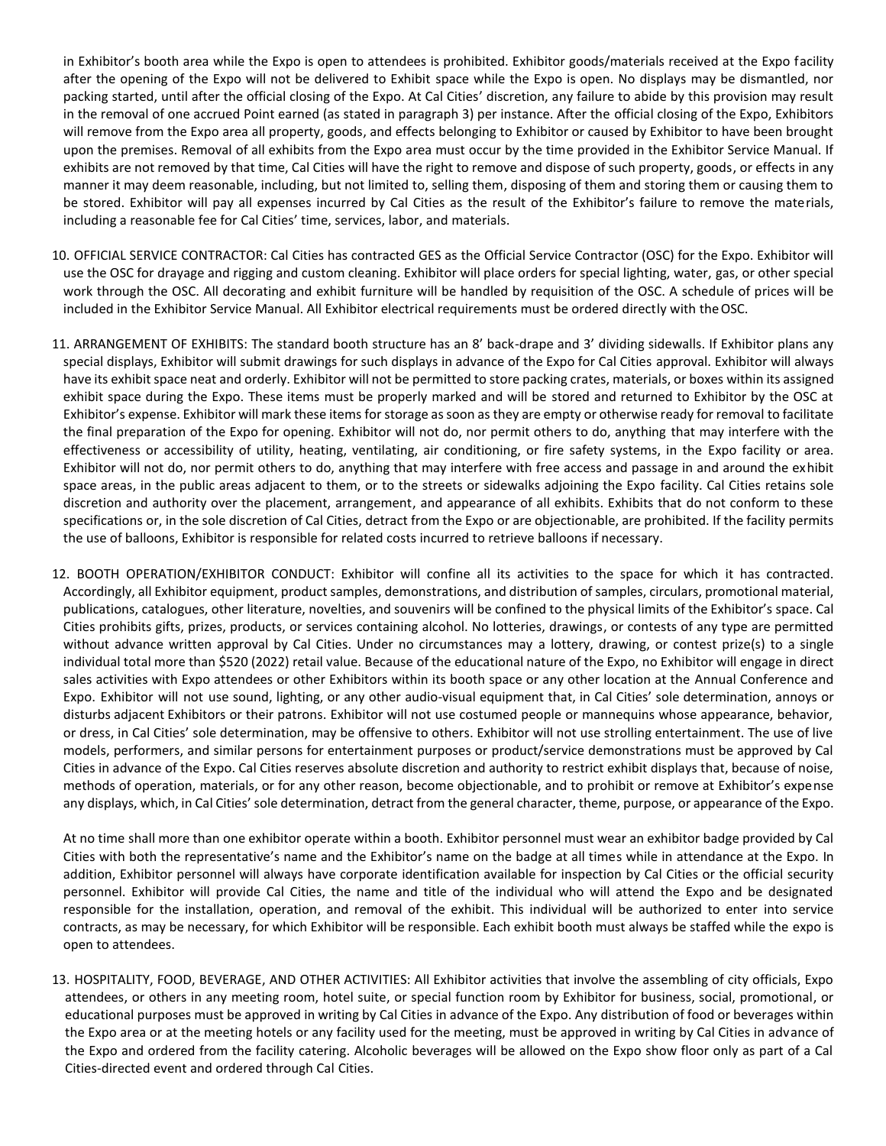in Exhibitor's booth area while the Expo is open to attendees is prohibited. Exhibitor goods/materials received at the Expo facility after the opening of the Expo will not be delivered to Exhibit space while the Expo is open. No displays may be dismantled, nor packing started, until after the official closing of the Expo. At Cal Cities' discretion, any failure to abide by this provision may result in the removal of one accrued Point earned (as stated in paragraph 3) per instance. After the official closing of the Expo, Exhibitors will remove from the Expo area all property, goods, and effects belonging to Exhibitor or caused by Exhibitor to have been brought upon the premises. Removal of all exhibits from the Expo area must occur by the time provided in the Exhibitor Service Manual. If exhibits are not removed by that time, Cal Cities will have the right to remove and dispose of such property, goods, or effects in any manner it may deem reasonable, including, but not limited to, selling them, disposing of them and storing them or causing them to be stored. Exhibitor will pay all expenses incurred by Cal Cities as the result of the Exhibitor's failure to remove the materials, including a reasonable fee for Cal Cities' time, services, labor, and materials.

- 10. OFFICIAL SERVICE CONTRACTOR: Cal Cities has contracted GES as the Official Service Contractor (OSC) for the Expo. Exhibitor will use the OSC for drayage and rigging and custom cleaning. Exhibitor will place orders for special lighting, water, gas, or other special work through the OSC. All decorating and exhibit furniture will be handled by requisition of the OSC. A schedule of prices will be included in the Exhibitor Service Manual. All Exhibitor electrical requirements must be ordered directly with the OSC.
- 11. ARRANGEMENT OF EXHIBITS: The standard booth structure has an 8' back-drape and 3' dividing sidewalls. If Exhibitor plans any special displays, Exhibitor will submit drawings for such displays in advance of the Expo for Cal Cities approval. Exhibitor will always have its exhibit space neat and orderly. Exhibitor will not be permitted to store packing crates, materials, or boxes within its assigned exhibit space during the Expo. These items must be properly marked and will be stored and returned to Exhibitor by the OSC at Exhibitor's expense. Exhibitor will mark these items for storage as soon as they are empty or otherwise ready for removal to facilitate the final preparation of the Expo for opening. Exhibitor will not do, nor permit others to do, anything that may interfere with the effectiveness or accessibility of utility, heating, ventilating, air conditioning, or fire safety systems, in the Expo facility or area. Exhibitor will not do, nor permit others to do, anything that may interfere with free access and passage in and around the exhibit space areas, in the public areas adjacent to them, or to the streets or sidewalks adjoining the Expo facility. Cal Cities retains sole discretion and authority over the placement, arrangement, and appearance of all exhibits. Exhibits that do not conform to these specifications or, in the sole discretion of Cal Cities, detract from the Expo or are objectionable, are prohibited. If the facility permits the use of balloons, Exhibitor is responsible for related costs incurred to retrieve balloons if necessary.
- 12. BOOTH OPERATION/EXHIBITOR CONDUCT: Exhibitor will confine all its activities to the space for which it has contracted. Accordingly, all Exhibitor equipment, product samples, demonstrations, and distribution ofsamples, circulars, promotional material, publications, catalogues, other literature, novelties, and souvenirs will be confined to the physical limits of the Exhibitor's space. Cal Cities prohibits gifts, prizes, products, or services containing alcohol. No lotteries, drawings, or contests of any type are permitted without advance written approval by Cal Cities. Under no circumstances may a lottery, drawing, or contest prize(s) to a single individual total more than \$520 (2022) retail value. Because of the educational nature of the Expo, no Exhibitor will engage in direct sales activities with Expo attendees or other Exhibitors within its booth space or any other location at the Annual Conference and Expo. Exhibitor will not use sound, lighting, or any other audio-visual equipment that, in Cal Cities' sole determination, annoys or disturbs adjacent Exhibitors or their patrons. Exhibitor will not use costumed people or mannequins whose appearance, behavior, or dress, in Cal Cities' sole determination, may be offensive to others. Exhibitor will not use strolling entertainment. The use of live models, performers, and similar persons for entertainment purposes or product/service demonstrations must be approved by Cal Cities in advance of the Expo. Cal Cities reserves absolute discretion and authority to restrict exhibit displays that, because of noise, methods of operation, materials, or for any other reason, become objectionable, and to prohibit or remove at Exhibitor's expense any displays, which, in Cal Cities' sole determination, detract from the general character, theme, purpose, or appearance of the Expo.

At no time shall more than one exhibitor operate within a booth. Exhibitor personnel must wear an exhibitor badge provided by Cal Cities with both the representative's name and the Exhibitor's name on the badge at all times while in attendance at the Expo. In addition, Exhibitor personnel will always have corporate identification available for inspection by Cal Cities or the official security personnel. Exhibitor will provide Cal Cities, the name and title of the individual who will attend the Expo and be designated responsible for the installation, operation, and removal of the exhibit. This individual will be authorized to enter into service contracts, as may be necessary, for which Exhibitor will be responsible. Each exhibit booth must always be staffed while the expo is open to attendees.

13. HOSPITALITY, FOOD, BEVERAGE, AND OTHER ACTIVITIES: All Exhibitor activities that involve the assembling of city officials, Expo attendees, or others in any meeting room, hotel suite, or special function room by Exhibitor for business, social, promotional, or educational purposes must be approved in writing by Cal Cities in advance of the Expo. Any distribution of food or beverages within the Expo area or at the meeting hotels or any facility used for the meeting, must be approved in writing by Cal Cities in advance of the Expo and ordered from the facility catering. Alcoholic beverages will be allowed on the Expo show floor only as part of a Cal Cities-directed event and ordered through Cal Cities.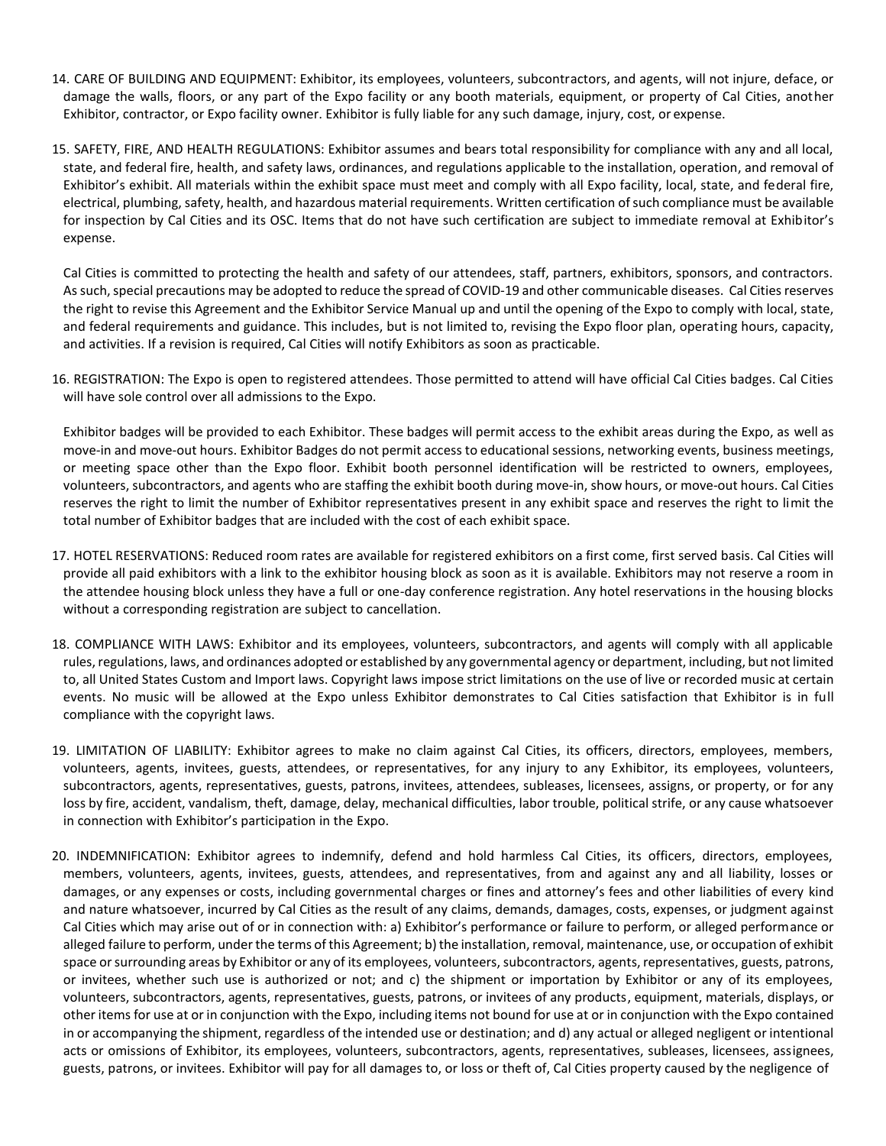- 14. CARE OF BUILDING AND EQUIPMENT: Exhibitor, its employees, volunteers, subcontractors, and agents, will not injure, deface, or damage the walls, floors, or any part of the Expo facility or any booth materials, equipment, or property of Cal Cities, another Exhibitor, contractor, or Expo facility owner. Exhibitor is fully liable for any such damage, injury, cost, or expense.
- 15. SAFETY, FIRE, AND HEALTH REGULATIONS: Exhibitor assumes and bears total responsibility for compliance with any and all local, state, and federal fire, health, and safety laws, ordinances, and regulations applicable to the installation, operation, and removal of Exhibitor's exhibit. All materials within the exhibit space must meet and comply with all Expo facility, local, state, and federal fire, electrical, plumbing, safety, health, and hazardous material requirements. Written certification ofsuch compliance must be available for inspection by Cal Cities and its OSC. Items that do not have such certification are subject to immediate removal at Exhibitor's expense.

Cal Cities is committed to protecting the health and safety of our attendees, staff, partners, exhibitors, sponsors, and contractors. As such, special precautions may be adopted to reduce the spread of COVID-19 and other communicable diseases. Cal Cities reserves the right to revise this Agreement and the Exhibitor Service Manual up and until the opening of the Expo to comply with local, state, and federal requirements and guidance. This includes, but is not limited to, revising the Expo floor plan, operating hours, capacity, and activities. If a revision is required, Cal Cities will notify Exhibitors as soon as practicable.

16. REGISTRATION: The Expo is open to registered attendees. Those permitted to attend will have official Cal Cities badges. Cal Cities will have sole control over all admissions to the Expo.

Exhibitor badges will be provided to each Exhibitor. These badges will permit access to the exhibit areas during the Expo, as well as move-in and move-out hours. Exhibitor Badges do not permit access to educational sessions, networking events, business meetings, or meeting space other than the Expo floor. Exhibit booth personnel identification will be restricted to owners, employees, volunteers, subcontractors, and agents who are staffing the exhibit booth during move-in, show hours, or move-out hours. Cal Cities reserves the right to limit the number of Exhibitor representatives present in any exhibit space and reserves the right to limit the total number of Exhibitor badges that are included with the cost of each exhibit space.

- 17. HOTEL RESERVATIONS: Reduced room rates are available for registered exhibitors on a first come, first served basis. Cal Cities will provide all paid exhibitors with a link to the exhibitor housing block as soon as it is available. Exhibitors may not reserve a room in the attendee housing block unless they have a full or one-day conference registration. Any hotel reservations in the housing blocks without a corresponding registration are subject to cancellation.
- 18. COMPLIANCE WITH LAWS: Exhibitor and its employees, volunteers, subcontractors, and agents will comply with all applicable rules, regulations, laws, and ordinances adopted or established by any governmental agency or department, including, but not limited to, all United States Custom and Import laws. Copyright laws impose strict limitations on the use of live or recorded music at certain events. No music will be allowed at the Expo unless Exhibitor demonstrates to Cal Cities satisfaction that Exhibitor is in full compliance with the copyright laws.
- 19. LIMITATION OF LIABILITY: Exhibitor agrees to make no claim against Cal Cities, its officers, directors, employees, members, volunteers, agents, invitees, guests, attendees, or representatives, for any injury to any Exhibitor, its employees, volunteers, subcontractors, agents, representatives, guests, patrons, invitees, attendees, subleases, licensees, assigns, or property, or for any loss by fire, accident, vandalism, theft, damage, delay, mechanical difficulties, labor trouble, political strife, or any cause whatsoever in connection with Exhibitor's participation in the Expo.
- 20. INDEMNIFICATION: Exhibitor agrees to indemnify, defend and hold harmless Cal Cities, its officers, directors, employees, members, volunteers, agents, invitees, guests, attendees, and representatives, from and against any and all liability, losses or damages, or any expenses or costs, including governmental charges or fines and attorney's fees and other liabilities of every kind and nature whatsoever, incurred by Cal Cities as the result of any claims, demands, damages, costs, expenses, or judgment against Cal Cities which may arise out of or in connection with: a) Exhibitor's performance or failure to perform, or alleged performance or alleged failure to perform, under the terms of this Agreement; b) the installation, removal, maintenance, use, or occupation of exhibit space or surrounding areas by Exhibitor or any of its employees, volunteers, subcontractors, agents, representatives, guests, patrons, or invitees, whether such use is authorized or not; and c) the shipment or importation by Exhibitor or any of its employees, volunteers, subcontractors, agents, representatives, guests, patrons, or invitees of any products, equipment, materials, displays, or other items for use at or in conjunction with the Expo, including items not bound for use at or in conjunction with the Expo contained in or accompanying the shipment, regardless of the intended use or destination; and d) any actual or alleged negligent or intentional acts or omissions of Exhibitor, its employees, volunteers, subcontractors, agents, representatives, subleases, licensees, assignees, guests, patrons, or invitees. Exhibitor will pay for all damages to, or loss or theft of, Cal Cities property caused by the negligence of